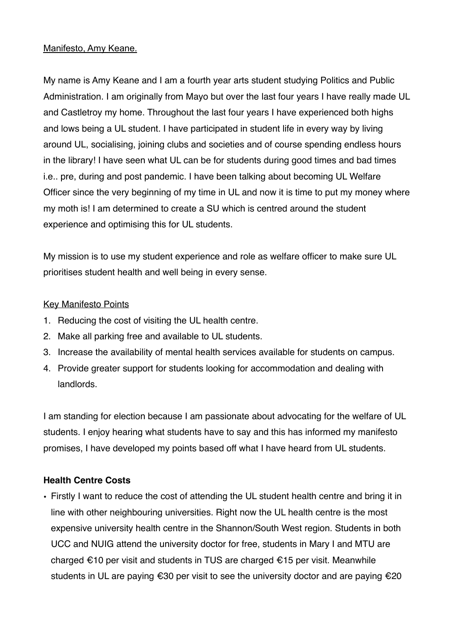### Manifesto, Amy Keane.

My name is Amy Keane and I am a fourth year arts student studying Politics and Public Administration. I am originally from Mayo but over the last four years I have really made UL and Castletroy my home. Throughout the last four years I have experienced both highs and lows being a UL student. I have participated in student life in every way by living around UL, socialising, joining clubs and societies and of course spending endless hours in the library! I have seen what UL can be for students during good times and bad times i.e.. pre, during and post pandemic. I have been talking about becoming UL Welfare Officer since the very beginning of my time in UL and now it is time to put my money where my moth is! I am determined to create a SU which is centred around the student experience and optimising this for UL students.

My mission is to use my student experience and role as welfare officer to make sure UL prioritises student health and well being in every sense.

## Key Manifesto Points

- 1. Reducing the cost of visiting the UL health centre.
- 2. Make all parking free and available to UL students.
- 3. Increase the availability of mental health services available for students on campus.
- 4. Provide greater support for students looking for accommodation and dealing with landlords.

I am standing for election because I am passionate about advocating for the welfare of UL students. I enjoy hearing what students have to say and this has informed my manifesto promises, I have developed my points based off what I have heard from UL students.

# **Health Centre Costs**

• Firstly I want to reduce the cost of attending the UL student health centre and bring it in line with other neighbouring universities. Right now the UL health centre is the most expensive university health centre in the Shannon/South West region. Students in both UCC and NUIG attend the university doctor for free, students in Mary I and MTU are charged €10 per visit and students in TUS are charged €15 per visit. Meanwhile students in UL are paying €30 per visit to see the university doctor and are paying €20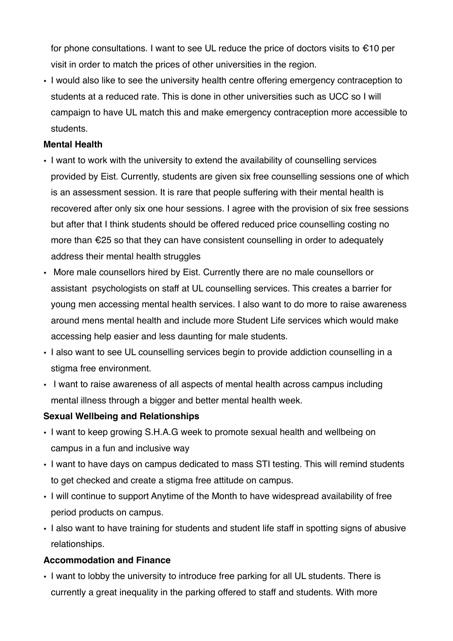for phone consultations. I want to see UL reduce the price of doctors visits to  $\epsilon$ 10 per visit in order to match the prices of other universities in the region.

• I would also like to see the university health centre offering emergency contraception to students at a reduced rate. This is done in other universities such as UCC so I will campaign to have UL match this and make emergency contraception more accessible to students.

#### **Mental Health**

- I want to work with the university to extend the availability of counselling services provided by Eist. Currently, students are given six free counselling sessions one of which is an assessment session. It is rare that people suffering with their mental health is recovered after only six one hour sessions. I agree with the provision of six free sessions but after that I think students should be offered reduced price counselling costing no more than €25 so that they can have consistent counselling in order to adequately address their mental health struggles
- More male counsellors hired by Eist. Currently there are no male counsellors or assistant psychologists on staff at UL counselling services. This creates a barrier for young men accessing mental health services. I also want to do more to raise awareness around mens mental health and include more Student Life services which would make accessing help easier and less daunting for male students.
- I also want to see UL counselling services begin to provide addiction counselling in a stigma free environment.
- I want to raise awareness of all aspects of mental health across campus including mental illness through a bigger and better mental health week.

#### **Sexual Wellbeing and Relationships**

- I want to keep growing S.H.A.G week to promote sexual health and wellbeing on campus in a fun and inclusive way
- I want to have days on campus dedicated to mass STI testing. This will remind students to get checked and create a stigma free attitude on campus.
- I will continue to support Anytime of the Month to have widespread availability of free period products on campus.
- I also want to have training for students and student life staff in spotting signs of abusive relationships.

#### **Accommodation and Finance**

• I want to lobby the university to introduce free parking for all UL students. There is currently a great inequality in the parking offered to staff and students. With more